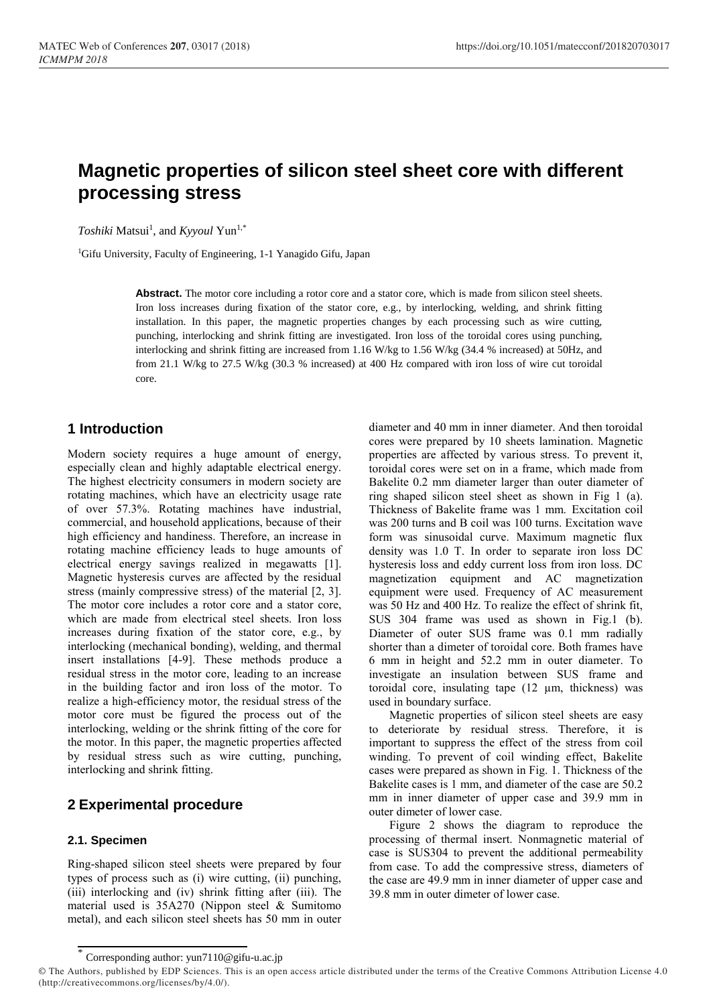# **Magnetic properties of silicon steel sheet core with different processing stress**

Toshiki Matsui<sup>1</sup>, and *Kyyoul* Yun<sup>1,\*</sup>

<sup>1</sup>Gifu University, Faculty of Engineering, 1-1 Yanagido Gifu, Japan

**Abstract.** The motor core including a rotor core and a stator core, which is made from silicon steel sheets. Iron loss increases during fixation of the stator core, e.g., by interlocking, welding, and shrink fitting installation. In this paper, the magnetic properties changes by each processing such as wire cutting, punching, interlocking and shrink fitting are investigated. Iron loss of the toroidal cores using punching, interlocking and shrink fitting are increased from 1.16 W/kg to 1.56 W/kg (34.4 % increased) at 50Hz, and from 21.1 W/kg to 27.5 W/kg (30.3 % increased) at 400 Hz compared with iron loss of wire cut toroidal core.

### **1 Introduction**

Modern society requires a huge amount of energy, especially clean and highly adaptable electrical energy. The highest electricity consumers in modern society are rotating machines, which have an electricity usage rate of over 57.3%. Rotating machines have industrial, commercial, and household applications, because of their high efficiency and handiness. Therefore, an increase in rotating machine efficiency leads to huge amounts of electrical energy savings realized in megawatts [1]. Magnetic hysteresis curves are affected by the residual stress (mainly compressive stress) of the material [2, 3]. The motor core includes a rotor core and a stator core, which are made from electrical steel sheets. Iron loss increases during fixation of the stator core, e.g., by interlocking (mechanical bonding), welding, and thermal insert installations [4-9]. These methods produce a residual stress in the motor core, leading to an increase in the building factor and iron loss of the motor. To realize a high-efficiency motor, the residual stress of the motor core must be figured the process out of the interlocking, welding or the shrink fitting of the core for the motor. In this paper, the magnetic properties affected by residual stress such as wire cutting, punching, interlocking and shrink fitting.

# **2 Experimental procedure**

### **2.1. Specimen**

Ring-shaped silicon steel sheets were prepared by four types of process such as (i) wire cutting, (ii) punching, (iii) interlocking and (iv) shrink fitting after (iii). The material used is 35A270 (Nippon steel & Sumitomo metal), and each silicon steel sheets has 50 mm in outer

diameter and 40 mm in inner diameter. And then toroidal cores were prepared by 10 sheets lamination. Magnetic properties are affected by various stress. To prevent it, toroidal cores were set on in a frame, which made from Bakelite 0.2 mm diameter larger than outer diameter of ring shaped silicon steel sheet as shown in Fig 1 (a). Thickness of Bakelite frame was 1 mm. Excitation coil was 200 turns and B coil was 100 turns. Excitation wave form was sinusoidal curve. Maximum magnetic flux density was 1.0 T. In order to separate iron loss DC hysteresis loss and eddy current loss from iron loss. DC magnetization equipment and AC magnetization equipment were used. Frequency of AC measurement was 50 Hz and 400 Hz. To realize the effect of shrink fit, SUS 304 frame was used as shown in Fig.1 (b). Diameter of outer SUS frame was 0.1 mm radially shorter than a dimeter of toroidal core. Both frames have 6 mm in height and 52.2 mm in outer diameter. To investigate an insulation between SUS frame and toroidal core, insulating tape (12 µm, thickness) was used in boundary surface.

Magnetic properties of silicon steel sheets are easy deteriorate by residual stress. Therefore, it is important to suppress the effect of the stress from coil winding. To prevent of coil winding effect, Bakelite cases were prepared as shown in Fig. 1. Thickness of the Bakelite cases is 1 mm, and diameter of the case are 50.2 mm in inner diameter of upper case and 39.9 mm in outer dimeter of lower case.

Figure 2 shows the diagram to reproduce the processing of thermal insert. Nonmagnetic material of case is SUS304 to prevent the additional permeability from case. To add the compressive stress, diameters of the case are 49.9 mm in inner diameter of upper case and 39.8 mm in outer dimeter of lower case.

<sup>\*</sup> Corresponding author: yun7110@gifu-u.ac.jp

<sup>©</sup> The Authors, published by EDP Sciences. This is an open access article distributed under the terms of the Creative Commons Attribution License 4.0 (http://creativecommons.org/licenses/by/4.0/).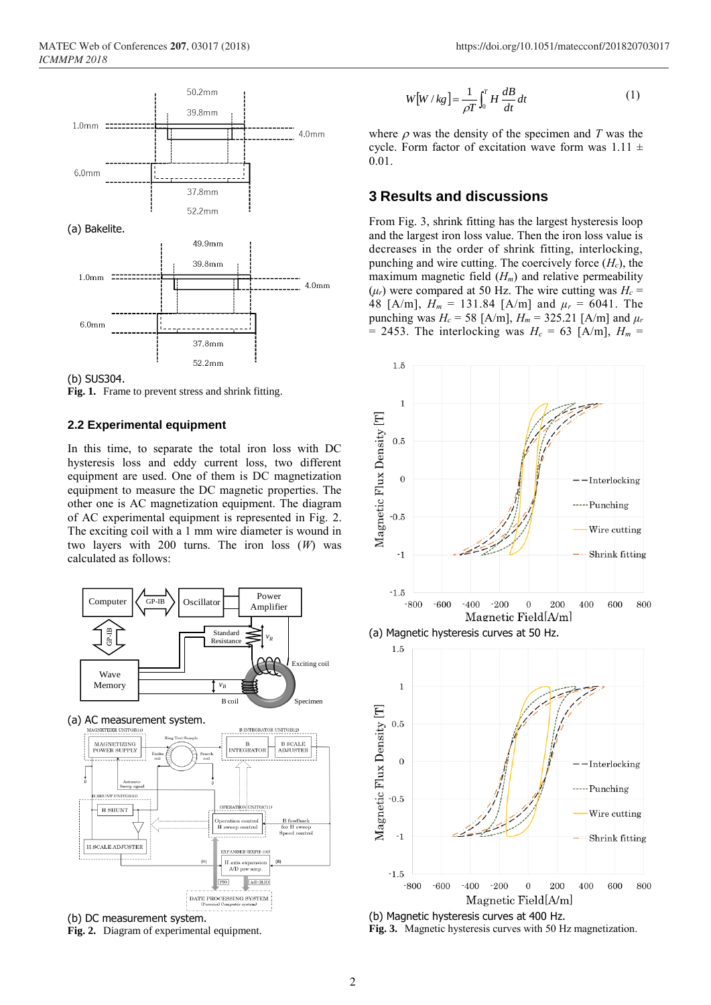



**Fig. 1.** Frame to prevent stress and shrink fitting.

#### **2.2 Experimental equipment**

In this time, to separate the total iron loss with DC hysteresis loss and eddy current loss, two different equipment are used. One of them is DC magnetization equipment to measure the DC magnetic properties. The other one is AC magnetization equipment. The diagram of AC experimental equipment is represented in Fig. 2. The exciting coil with a 1 mm wire diameter is wound in two layers with 200 turns. The iron loss (*W*) was calculated as follows:



**Fig. 2.** Diagram of experimental equipment.

$$
W[W / kg] = \frac{1}{\rho T} \int_0^T H \frac{dB}{dt} dt
$$
 (1)

where  $\rho$  was the density of the specimen and *T* was the cycle. Form factor of excitation wave form was  $1.11 \pm$ 0.01.

### **3 Results and discussions**

From Fig. 3, shrink fitting has the largest hysteresis loop and the largest iron loss value. Then the iron loss value is decreases in the order of shrink fitting, interlocking, punching and wire cutting. The coercively force (*Hc*), the maximum magnetic field (*Hm*) and relative permeability  $(\mu_r)$  were compared at 50 Hz. The wire cutting was  $H_c =$ 48 [A/m],  $H_m = 131.84$  [A/m] and  $\mu_r = 6041$ . The punching was  $H_c = 58$  [A/m],  $H_m = 325.21$  [A/m] and  $\mu_r$ = 2453. The interlocking was  $H_c = 63$  [A/m],  $H_m =$ 







(b) Magnetic hysteresis curves at 400 Hz. **Fig. 3.** Magnetic hysteresis curves with 50 Hz magnetization.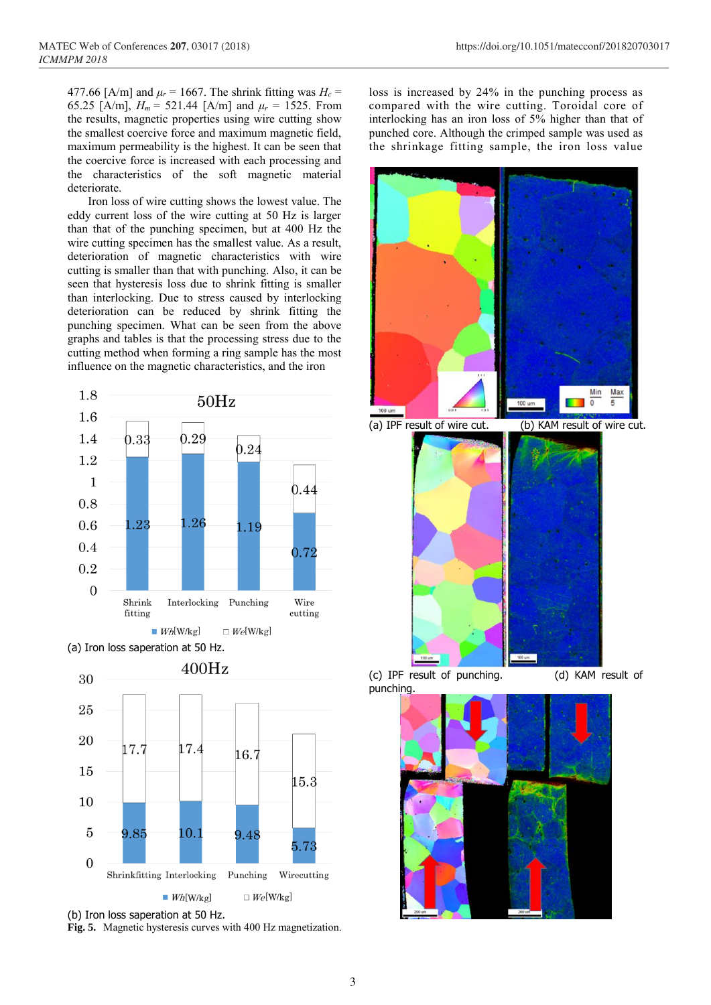477.66 [A/m] and  $\mu_r$  = 1667. The shrink fitting was  $H_c$  = 65.25 [A/m],  $H_m = 521.44$  [A/m] and  $\mu_r = 1525$ . From the results, magnetic properties using wire cutting show the smallest coercive force and maximum magnetic field, maximum permeability is the highest. It can be seen that the coercive force is increased with each processing and the characteristics of the soft magnetic material deteriorate.

Iron loss of wire cutting shows the lowest value. The eddy current loss of the wire cutting at 50 Hz is larger than that of the punching specimen, but at 400 Hz the wire cutting specimen has the smallest value. As a result, deterioration of magnetic characteristics with wire cutting is smaller than that with punching. Also, it can be seen that hysteresis loss due to shrink fitting is smaller than interlocking. Due to stress caused by interlocking deterioration can be reduced by shrink fitting the punching specimen. What can be seen from the above graphs and tables is that the processing stress due to the cutting method when forming a ring sample has the most influence on the magnetic characteristics, and the iron







loss is increased by 24% in the punching process as compared with the wire cutting. Toroidal core of interlocking has an iron loss of 5% higher than that of punched core. Although the crimped sample was used as the shrinkage fitting sample, the iron loss value